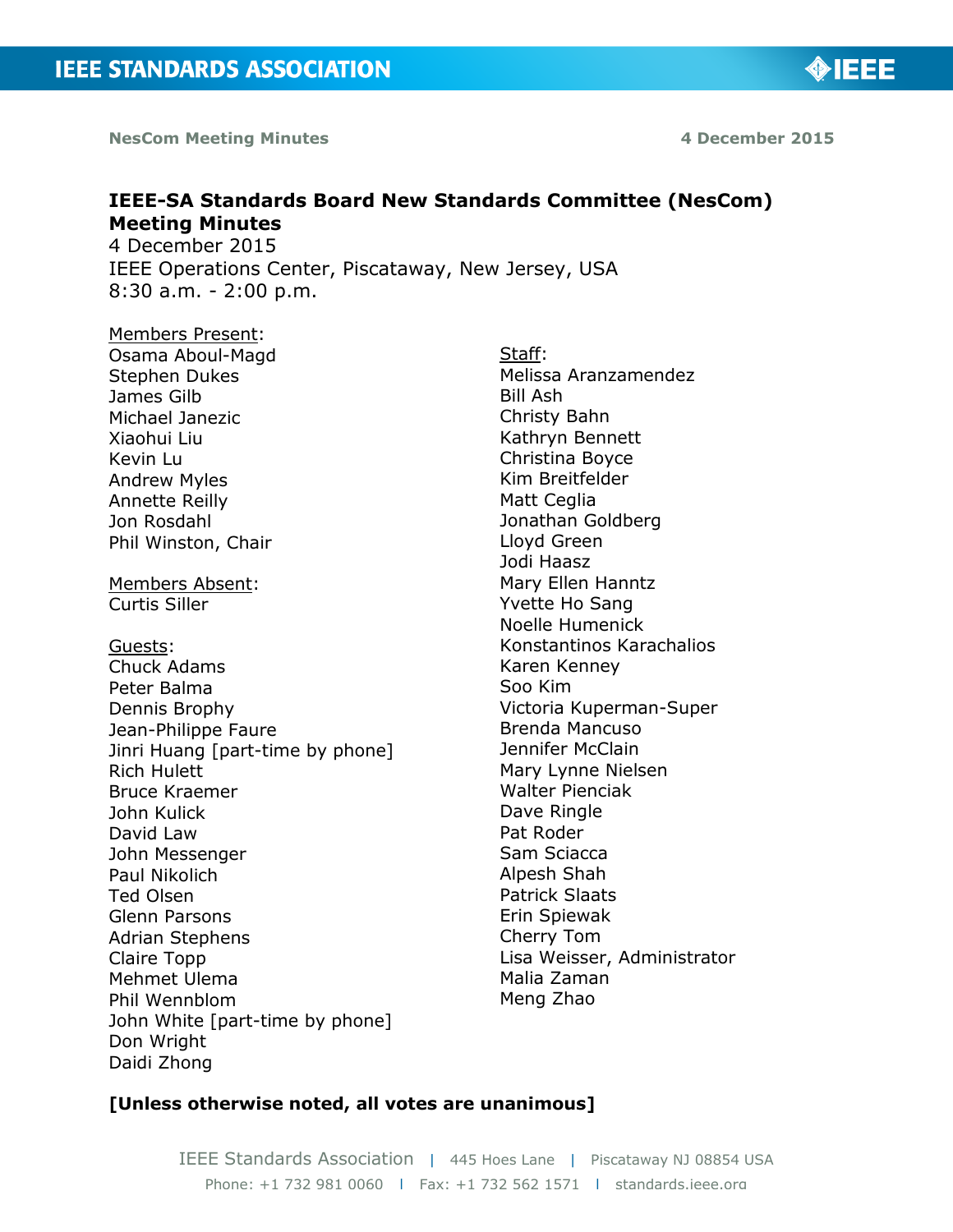**NesCom Meeting Minutes**  1 **12 August 2015 12 August 2015 12 August 2015** 

◈IEEE

# **IEEE-SA Standards Board New Standards Committee (NesCom) Meeting Minutes**

4 December 2015 IEEE Operations Center, Piscataway, New Jersey, USA 8:30 a.m. - 2:00 p.m.

# Members Present:

Osama Aboul-Magd Stephen Dukes James Gilb Michael Janezic Xiaohui Liu Kevin Lu Andrew Myles Annette Reilly Jon Rosdahl Phil Winston, Chair

Members Absent: Curtis Siller

Guests: Chuck Adams Peter Balma Dennis Brophy Jean-Philippe Faure Jinri Huang [part-time by phone] Rich Hulett Bruce Kraemer John Kulick David Law John Messenger Paul Nikolich Ted Olsen Glenn Parsons Adrian Stephens Claire Topp Mehmet Ulema Phil Wennblom John White [part-time by phone] Don Wright Daidi Zhong

Staff: Melissa Aranzamendez Bill Ash Christy Bahn Kathryn Bennett Christina Boyce Kim Breitfelder Matt Ceglia Jonathan Goldberg Lloyd Green Jodi Haasz Mary Ellen Hanntz Yvette Ho Sang Noelle Humenick Konstantinos Karachalios Karen Kenney Soo Kim Victoria Kuperman-Super Brenda Mancuso Jennifer McClain Mary Lynne Nielsen Walter Pienciak Dave Ringle Pat Roder Sam Sciacca Alpesh Shah Patrick Slaats Erin Spiewak Cherry Tom Lisa Weisser, Administrator Malia Zaman Meng Zhao

#### **[Unless otherwise noted, all votes are unanimous]**

IEEE Standards Association | 445 Hoes Lane | Piscataway NJ 08854 USA Phone: +1 732 981 0060 | Fax: +1 732 562 1571 | standards.ieee.org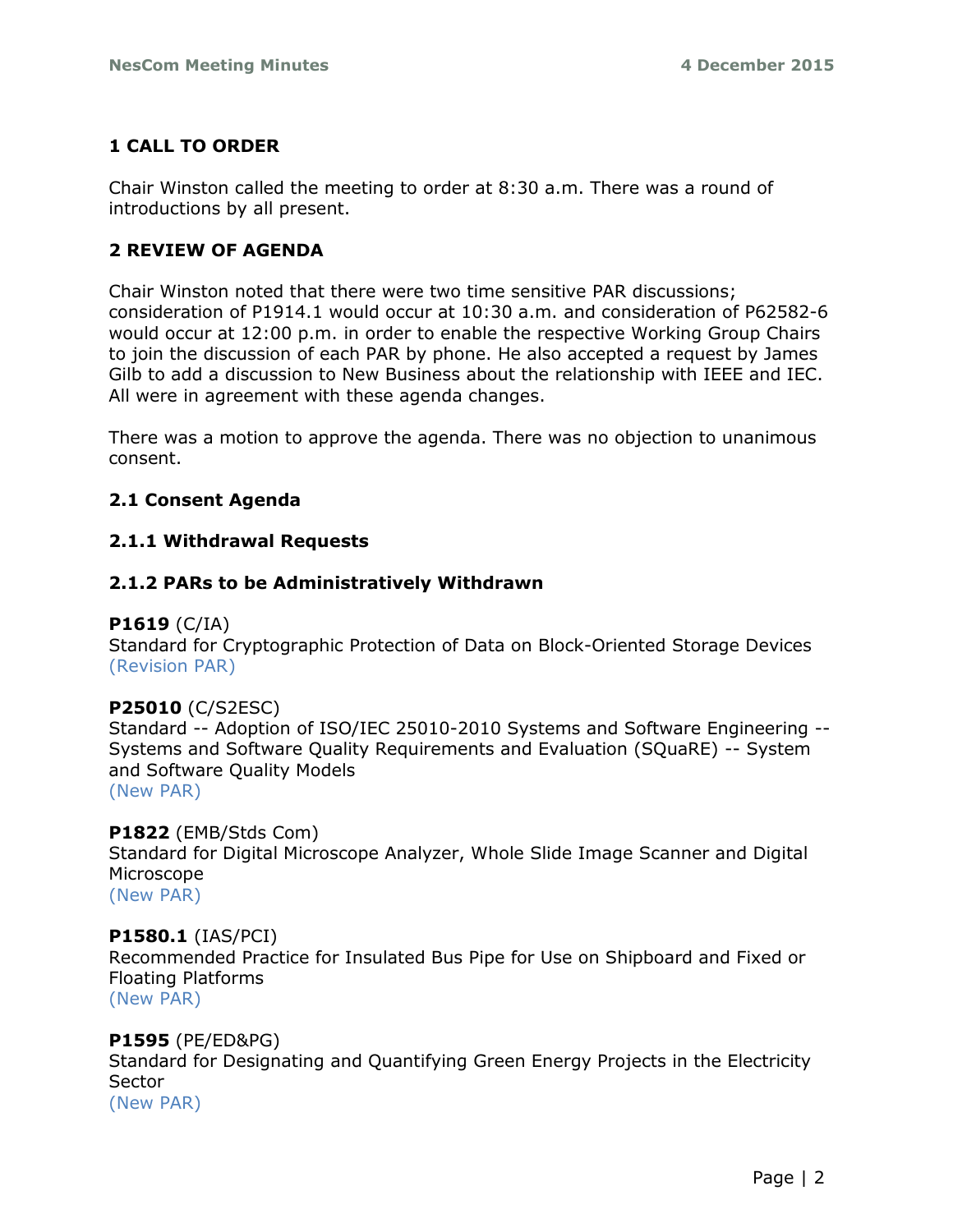# **1 CALL TO ORDER**

Chair Winston called the meeting to order at 8:30 a.m. There was a round of introductions by all present.

# **2 REVIEW OF AGENDA**

Chair Winston noted that there were two time sensitive PAR discussions; consideration of P1914.1 would occur at 10:30 a.m. and consideration of P62582-6 would occur at 12:00 p.m. in order to enable the respective Working Group Chairs to join the discussion of each PAR by phone. He also accepted a request by James Gilb to add a discussion to New Business about the relationship with IEEE and IEC. All were in agreement with these agenda changes.

There was a motion to approve the agenda. There was no objection to unanimous consent.

# **2.1 Consent Agenda**

## **2.1.1 Withdrawal Requests**

## **2.1.2 PARs to be Administratively Withdrawn**

## **P1619** (C/IA)

Standard for Cryptographic Protection of Data on Block-Oriented Storage Devices (Revision PAR)

## **P25010** (C/S2ESC)

Standard -- Adoption of ISO/IEC 25010-2010 Systems and Software Engineering -- Systems and Software Quality Requirements and Evaluation (SQuaRE) -- System and Software Quality Models (New PAR)

## **P1822** (EMB/Stds Com)

Standard for Digital Microscope Analyzer, Whole Slide Image Scanner and Digital Microscope

(New PAR)

## **P1580.1** (IAS/PCI)

Recommended Practice for Insulated Bus Pipe for Use on Shipboard and Fixed or Floating Platforms (New PAR)

## **P1595** (PE/ED&PG)

Standard for Designating and Quantifying Green Energy Projects in the Electricity **Sector** 

(New PAR)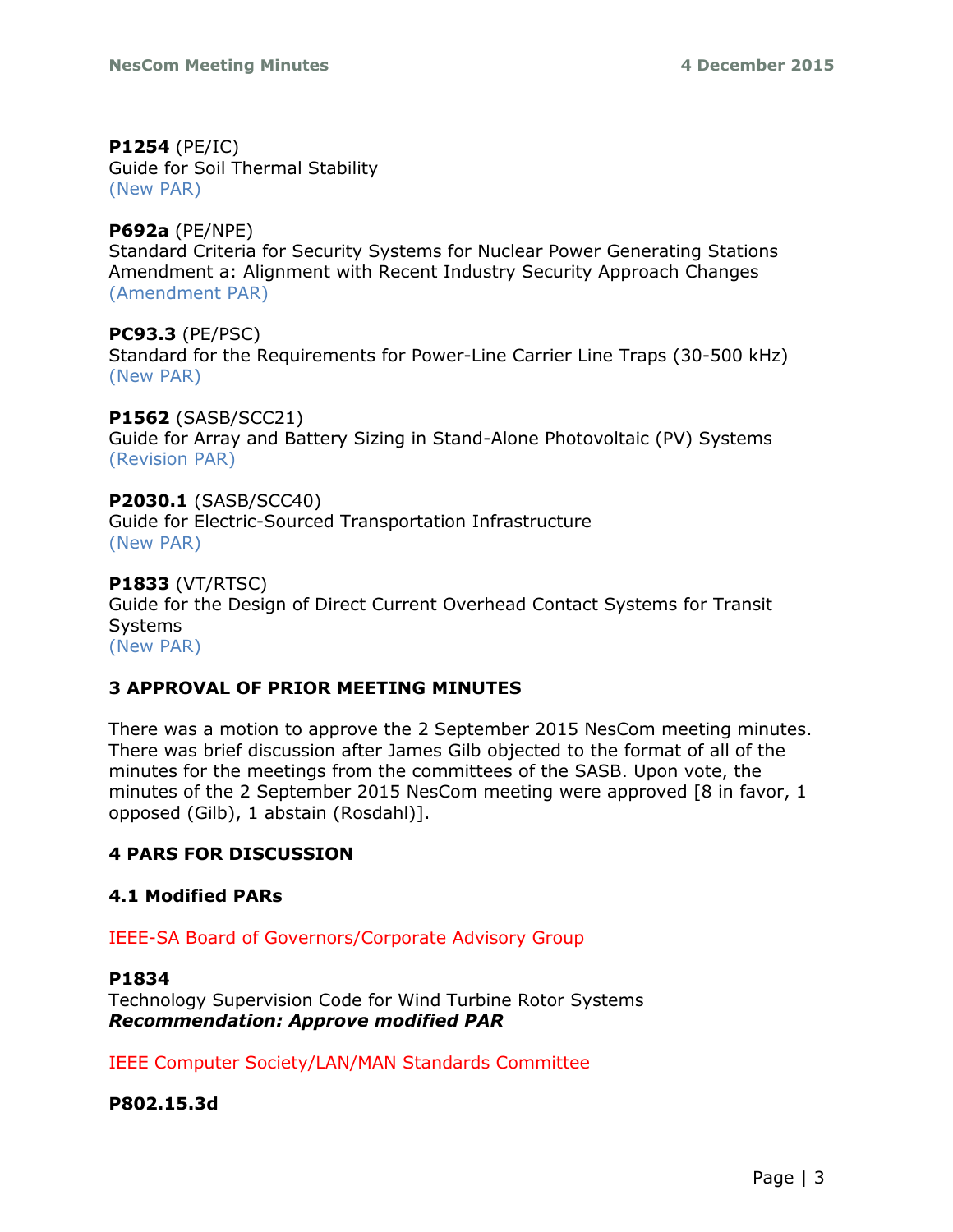## **P1254** (PE/IC)

Guide for Soil Thermal Stability (New PAR)

# **P692a** (PE/NPE)

Standard Criteria for Security Systems for Nuclear Power Generating Stations Amendment a: Alignment with Recent Industry Security Approach Changes (Amendment PAR)

## **PC93.3** (PE/PSC)

Standard for the Requirements for Power-Line Carrier Line Traps (30-500 kHz) (New PAR)

#### **P1562** (SASB/SCC21)

Guide for Array and Battery Sizing in Stand-Alone Photovoltaic (PV) Systems (Revision PAR)

#### **P2030.1** (SASB/SCC40)

Guide for Electric-Sourced Transportation Infrastructure (New PAR)

## **P1833** (VT/RTSC)

Guide for the Design of Direct Current Overhead Contact Systems for Transit Systems (New PAR)

# **3 APPROVAL OF PRIOR MEETING MINUTES**

There was a motion to approve the 2 September 2015 NesCom meeting minutes. There was brief discussion after James Gilb objected to the format of all of the minutes for the meetings from the committees of the SASB. Upon vote, the minutes of the 2 September 2015 NesCom meeting were approved [8 in favor, 1 opposed (Gilb), 1 abstain (Rosdahl)].

# **4 PARS FOR DISCUSSION**

## **4.1 Modified PARs**

IEEE-SA Board of Governors/Corporate Advisory Group

## **P1834**

Technology Supervision Code for Wind Turbine Rotor Systems *Recommendation: Approve modified PAR*

IEEE Computer Society/LAN/MAN Standards Committee

**P802.15.3d**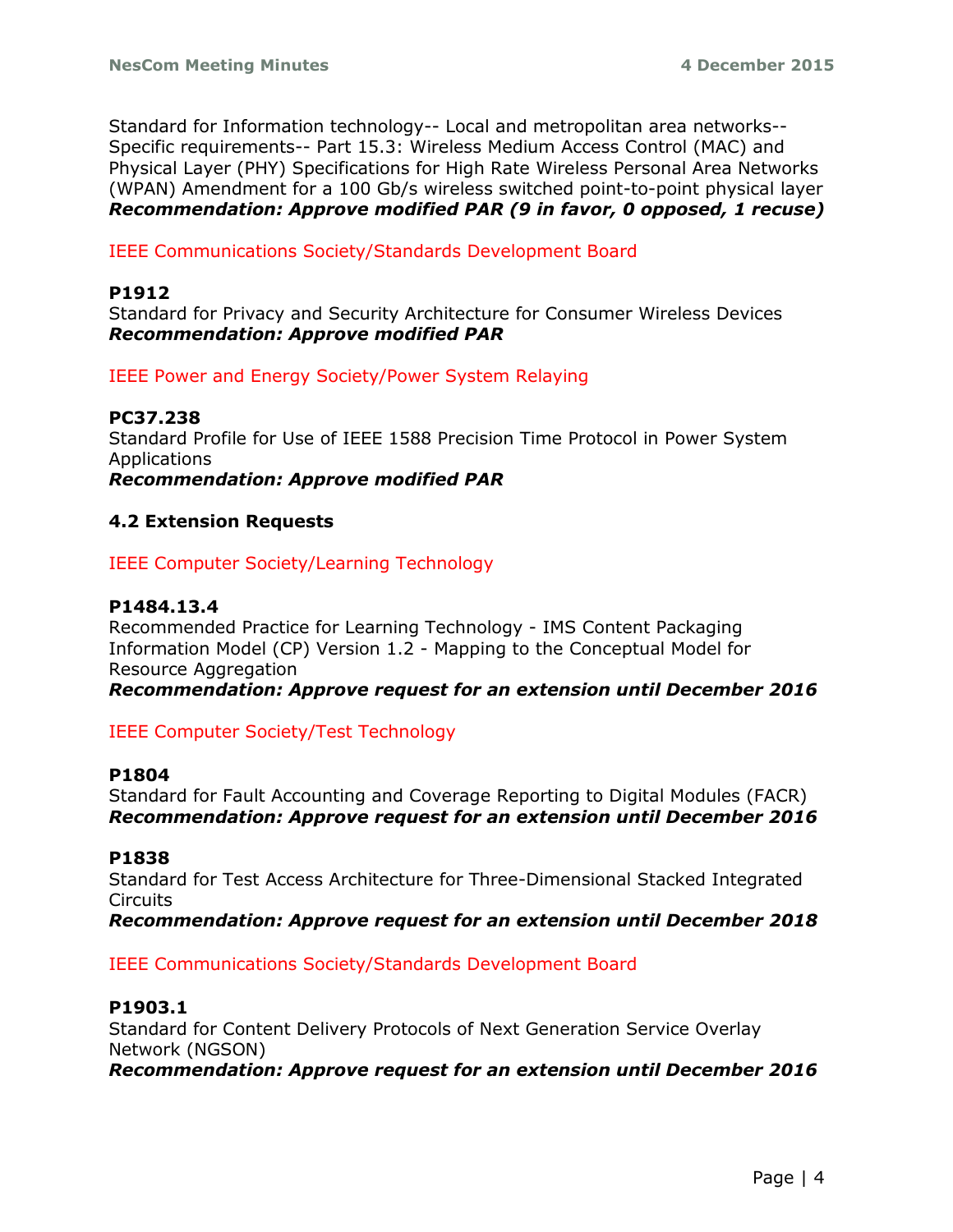Standard for Information technology-- Local and metropolitan area networks-- Specific requirements-- Part 15.3: Wireless Medium Access Control (MAC) and Physical Layer (PHY) Specifications for High Rate Wireless Personal Area Networks (WPAN) Amendment for a 100 Gb/s wireless switched point-to-point physical layer *Recommendation: Approve modified PAR (9 in favor, 0 opposed, 1 recuse)*

IEEE Communications Society/Standards Development Board

#### **P1912**

Standard for Privacy and Security Architecture for Consumer Wireless Devices *Recommendation: Approve modified PAR* 

IEEE Power and Energy Society/Power System Relaying

#### **PC37.238**

Standard Profile for Use of IEEE 1588 Precision Time Protocol in Power System Applications

*Recommendation: Approve modified PAR*

#### **4.2 Extension Requests**

IEEE Computer Society/Learning Technology

#### **P1484.13.4**

Recommended Practice for Learning Technology - IMS Content Packaging Information Model (CP) Version 1.2 - Mapping to the Conceptual Model for Resource Aggregation

*Recommendation: Approve request for an extension until December 2016*

#### IEEE Computer Society/Test Technology

#### **P1804**

Standard for Fault Accounting and Coverage Reporting to Digital Modules (FACR) *Recommendation: Approve request for an extension until December 2016*

#### **P1838**

Standard for Test Access Architecture for Three-Dimensional Stacked Integrated **Circuits** 

*Recommendation: Approve request for an extension until December 2018*

#### IEEE Communications Society/Standards Development Board

#### **P1903.1**

Standard for Content Delivery Protocols of Next Generation Service Overlay Network (NGSON) *Recommendation: Approve request for an extension until December 2016*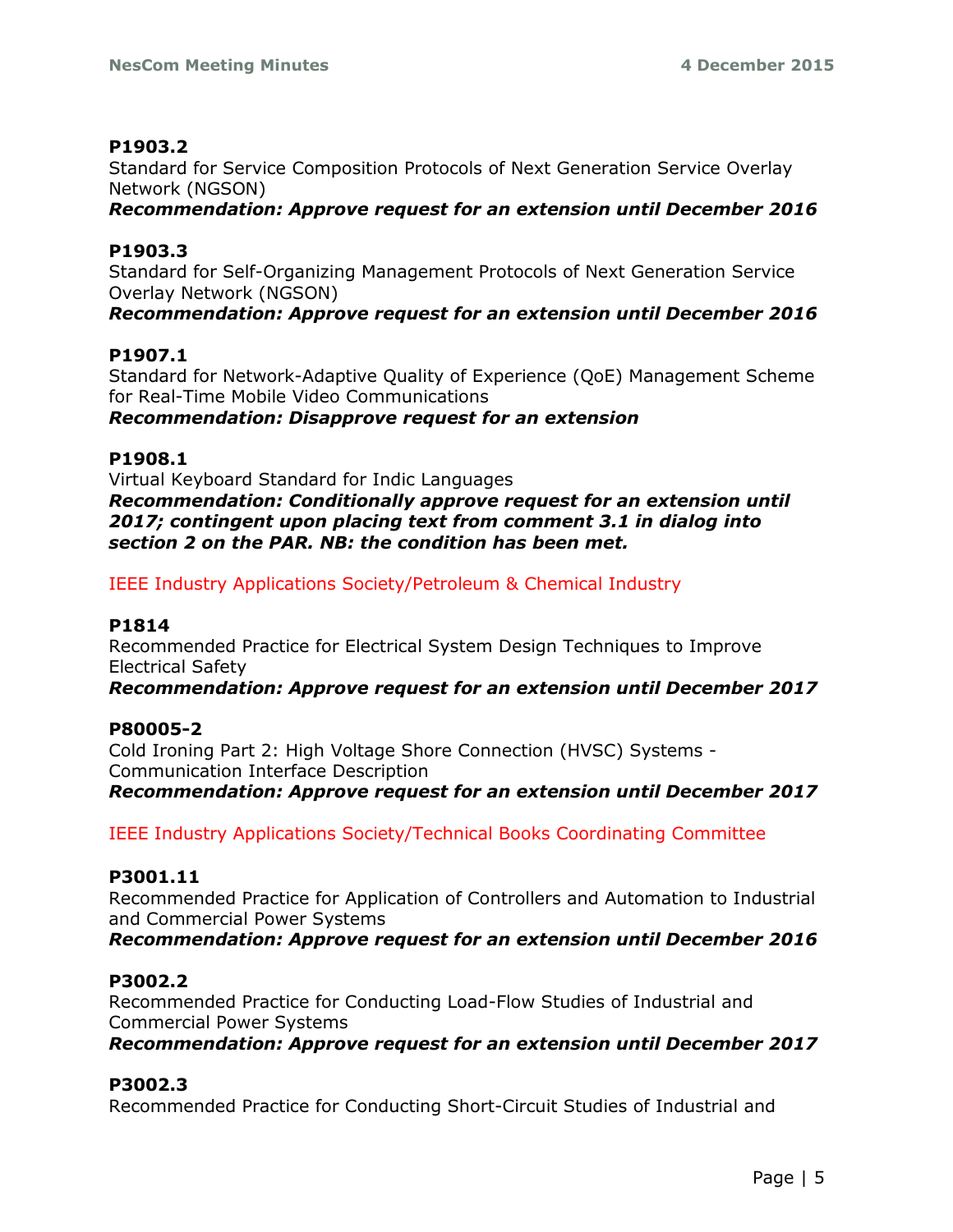## **P1903.2**

Standard for Service Composition Protocols of Next Generation Service Overlay Network (NGSON)

*Recommendation: Approve request for an extension until December 2016*

# **P1903.3**

Standard for Self-Organizing Management Protocols of Next Generation Service Overlay Network (NGSON)

*Recommendation: Approve request for an extension until December 2016*

## **P1907.1**

Standard for Network-Adaptive Quality of Experience (QoE) Management Scheme for Real-Time Mobile Video Communications *Recommendation: Disapprove request for an extension*

## **P1908.1**

Virtual Keyboard Standard for Indic Languages *Recommendation: Conditionally approve request for an extension until 2017; contingent upon placing text from comment 3.1 in dialog into section 2 on the PAR. NB: the condition has been met.*

IEEE Industry Applications Society/Petroleum & Chemical Industry

## **P1814**

Recommended Practice for Electrical System Design Techniques to Improve Electrical Safety

*Recommendation: Approve request for an extension until December 2017*

## **P80005-2**

Cold Ironing Part 2: High Voltage Shore Connection (HVSC) Systems - Communication Interface Description *Recommendation: Approve request for an extension until December 2017*

IEEE Industry Applications Society/Technical Books Coordinating Committee

## **P3001.11**

Recommended Practice for Application of Controllers and Automation to Industrial and Commercial Power Systems

*Recommendation: Approve request for an extension until December 2016*

## **P3002.2**

Recommended Practice for Conducting Load-Flow Studies of Industrial and Commercial Power Systems

*Recommendation: Approve request for an extension until December 2017*

## **P3002.3**

Recommended Practice for Conducting Short-Circuit Studies of Industrial and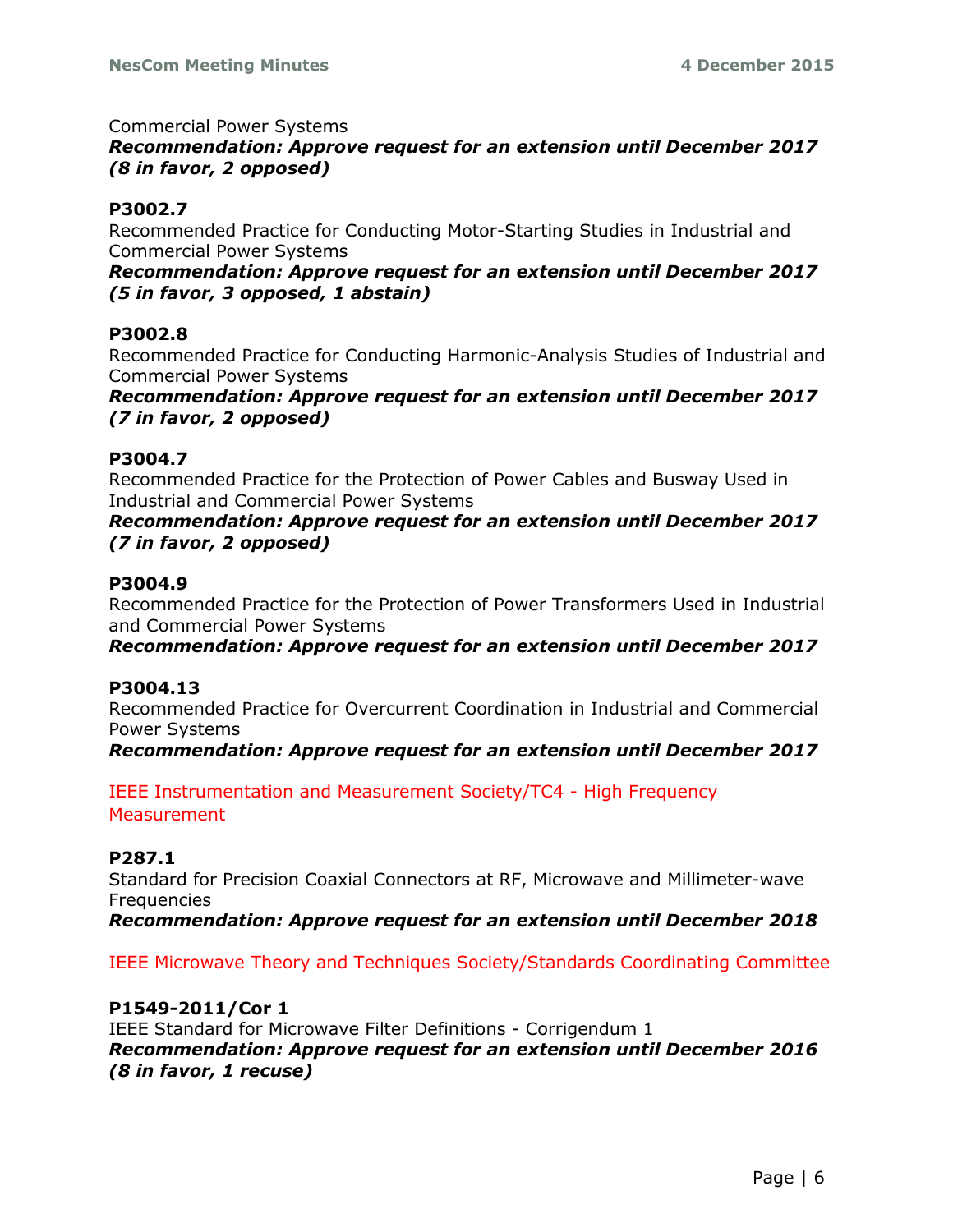#### Commercial Power Systems

# *Recommendation: Approve request for an extension until December 2017 (8 in favor, 2 opposed)*

## **P3002.7**

Recommended Practice for Conducting Motor-Starting Studies in Industrial and Commercial Power Systems

*Recommendation: Approve request for an extension until December 2017 (5 in favor, 3 opposed, 1 abstain)*

#### **P3002.8**

Recommended Practice for Conducting Harmonic-Analysis Studies of Industrial and Commercial Power Systems

*Recommendation: Approve request for an extension until December 2017 (7 in favor, 2 opposed)*

#### **P3004.7**

Recommended Practice for the Protection of Power Cables and Busway Used in Industrial and Commercial Power Systems

*Recommendation: Approve request for an extension until December 2017 (7 in favor, 2 opposed)*

#### **P3004.9**

Recommended Practice for the Protection of Power Transformers Used in Industrial and Commercial Power Systems

*Recommendation: Approve request for an extension until December 2017*

#### **P3004.13**

Recommended Practice for Overcurrent Coordination in Industrial and Commercial Power Systems

*Recommendation: Approve request for an extension until December 2017*

IEEE Instrumentation and Measurement Society/TC4 - High Frequency **Measurement** 

#### **P287.1**

Standard for Precision Coaxial Connectors at RF, Microwave and Millimeter-wave **Frequencies** 

*Recommendation: Approve request for an extension until December 2018*

IEEE Microwave Theory and Techniques Society/Standards Coordinating Committee

#### **P1549-2011/Cor 1**

IEEE Standard for Microwave Filter Definitions - Corrigendum 1 *Recommendation: Approve request for an extension until December 2016 (8 in favor, 1 recuse)*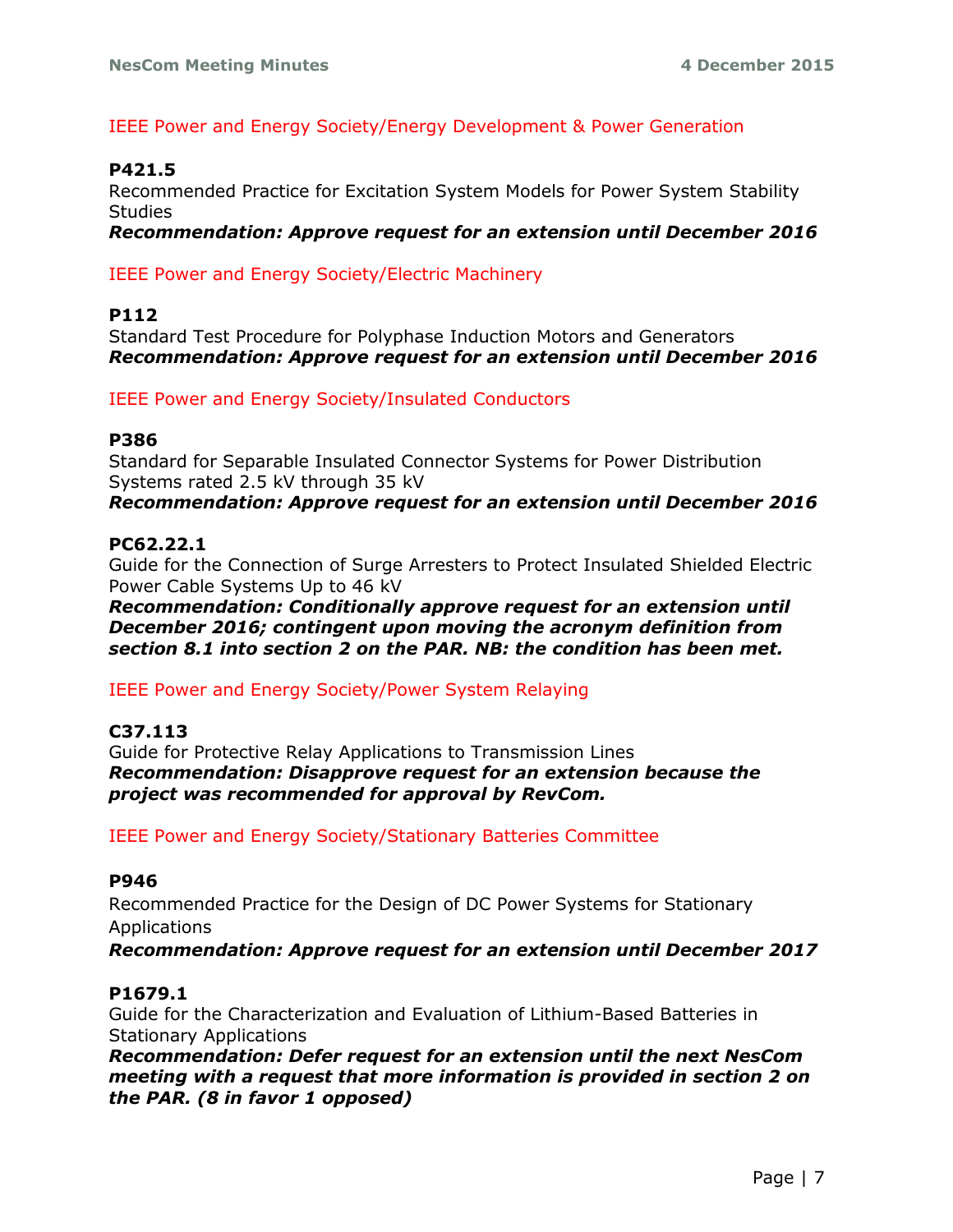## IEEE Power and Energy Society/Energy Development & Power Generation

#### **P421.5**

Recommended Practice for Excitation System Models for Power System Stability **Studies** 

*Recommendation: Approve request for an extension until December 2016*

IEEE Power and Energy Society/Electric Machinery

#### **P112**

Standard Test Procedure for Polyphase Induction Motors and Generators *Recommendation: Approve request for an extension until December 2016*

IEEE Power and Energy Society/Insulated Conductors

#### **P386**

Standard for Separable Insulated Connector Systems for Power Distribution Systems rated 2.5 kV through 35 kV

*Recommendation: Approve request for an extension until December 2016*

#### **PC62.22.1**

Guide for the Connection of Surge Arresters to Protect Insulated Shielded Electric Power Cable Systems Up to 46 kV

*Recommendation: Conditionally approve request for an extension until December 2016; contingent upon moving the acronym definition from section 8.1 into section 2 on the PAR. NB: the condition has been met.*

IEEE Power and Energy Society/Power System Relaying

#### **C37.113**

Guide for Protective Relay Applications to Transmission Lines *Recommendation: Disapprove request for an extension because the project was recommended for approval by RevCom.*

IEEE Power and Energy Society/Stationary Batteries Committee

#### **P946**

Recommended Practice for the Design of DC Power Systems for Stationary Applications

*Recommendation: Approve request for an extension until December 2017*

#### **P1679.1**

Guide for the Characterization and Evaluation of Lithium-Based Batteries in Stationary Applications

*Recommendation: Defer request for an extension until the next NesCom meeting with a request that more information is provided in section 2 on the PAR. (8 in favor 1 opposed)*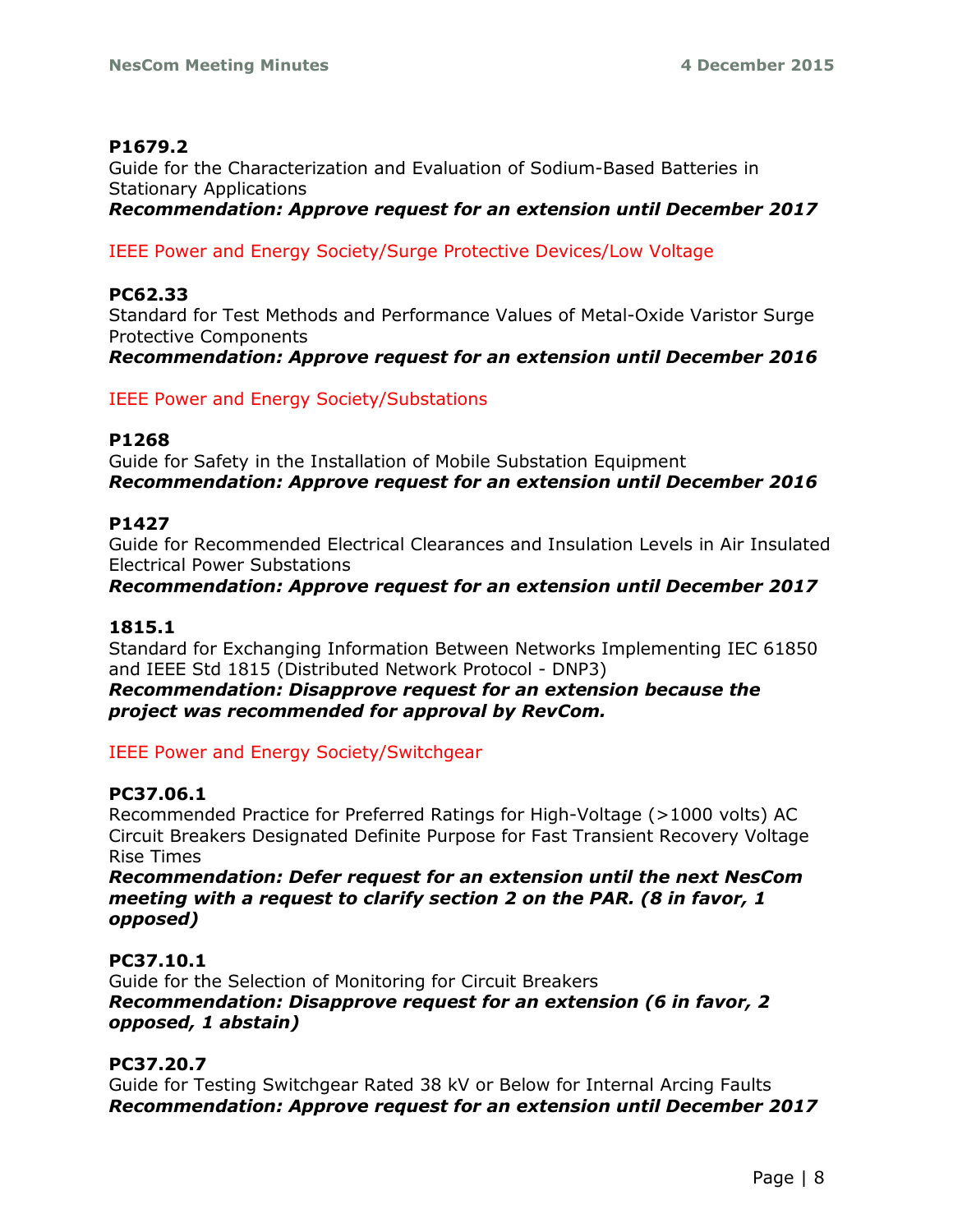## **P1679.2**

Guide for the Characterization and Evaluation of Sodium-Based Batteries in Stationary Applications

*Recommendation: Approve request for an extension until December 2017*

IEEE Power and Energy Society/Surge Protective Devices/Low Voltage

# **PC62.33**

Standard for Test Methods and Performance Values of Metal-Oxide Varistor Surge Protective Components

*Recommendation: Approve request for an extension until December 2016*

IEEE Power and Energy Society/Substations

#### **P1268**

Guide for Safety in the Installation of Mobile Substation Equipment *Recommendation: Approve request for an extension until December 2016*

## **P1427**

Guide for Recommended Electrical Clearances and Insulation Levels in Air Insulated Electrical Power Substations

*Recommendation: Approve request for an extension until December 2017*

## **1815.1**

Standard for Exchanging Information Between Networks Implementing IEC 61850 and IEEE Std 1815 (Distributed Network Protocol - DNP3)

*Recommendation: Disapprove request for an extension because the project was recommended for approval by RevCom.*

IEEE Power and Energy Society/Switchgear

## **PC37.06.1**

Recommended Practice for Preferred Ratings for High-Voltage (>1000 volts) AC Circuit Breakers Designated Definite Purpose for Fast Transient Recovery Voltage Rise Times

*Recommendation: Defer request for an extension until the next NesCom meeting with a request to clarify section 2 on the PAR. (8 in favor, 1 opposed)*

## **PC37.10.1**

Guide for the Selection of Monitoring for Circuit Breakers *Recommendation: Disapprove request for an extension (6 in favor, 2 opposed, 1 abstain)*

## **PC37.20.7**

Guide for Testing Switchgear Rated 38 kV or Below for Internal Arcing Faults *Recommendation: Approve request for an extension until December 2017*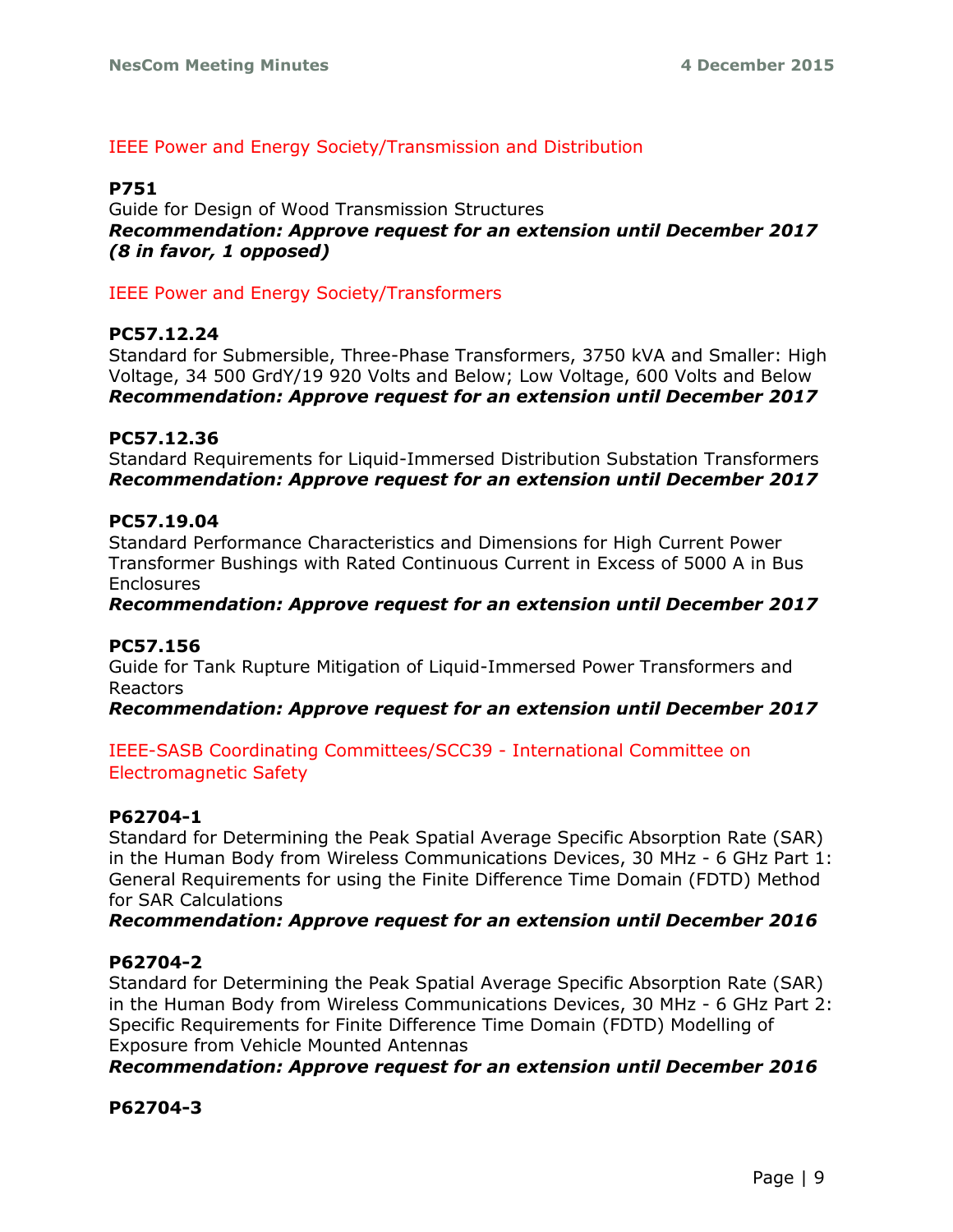## IEEE Power and Energy Society/Transmission and Distribution

## **P751**

Guide for Design of Wood Transmission Structures *Recommendation: Approve request for an extension until December 2017 (8 in favor, 1 opposed)*

IEEE Power and Energy Society/Transformers

#### **PC57.12.24**

Standard for Submersible, Three-Phase Transformers, 3750 kVA and Smaller: High Voltage, 34 500 GrdY/19 920 Volts and Below; Low Voltage, 600 Volts and Below *Recommendation: Approve request for an extension until December 2017*

#### **PC57.12.36**

Standard Requirements for Liquid-Immersed Distribution Substation Transformers *Recommendation: Approve request for an extension until December 2017*

#### **PC57.19.04**

Standard Performance Characteristics and Dimensions for High Current Power Transformer Bushings with Rated Continuous Current in Excess of 5000 A in Bus Enclosures

#### *Recommendation: Approve request for an extension until December 2017*

#### **PC57.156**

Guide for Tank Rupture Mitigation of Liquid-Immersed Power Transformers and Reactors

*Recommendation: Approve request for an extension until December 2017*

IEEE-SASB Coordinating Committees/SCC39 - International Committee on Electromagnetic Safety

#### **P62704-1**

Standard for Determining the Peak Spatial Average Specific Absorption Rate (SAR) in the Human Body from Wireless Communications Devices, 30 MHz - 6 GHz Part 1: General Requirements for using the Finite Difference Time Domain (FDTD) Method for SAR Calculations

#### *Recommendation: Approve request for an extension until December 2016*

#### **P62704-2**

Standard for Determining the Peak Spatial Average Specific Absorption Rate (SAR) in the Human Body from Wireless Communications Devices, 30 MHz - 6 GHz Part 2: Specific Requirements for Finite Difference Time Domain (FDTD) Modelling of Exposure from Vehicle Mounted Antennas

*Recommendation: Approve request for an extension until December 2016*

#### **P62704-3**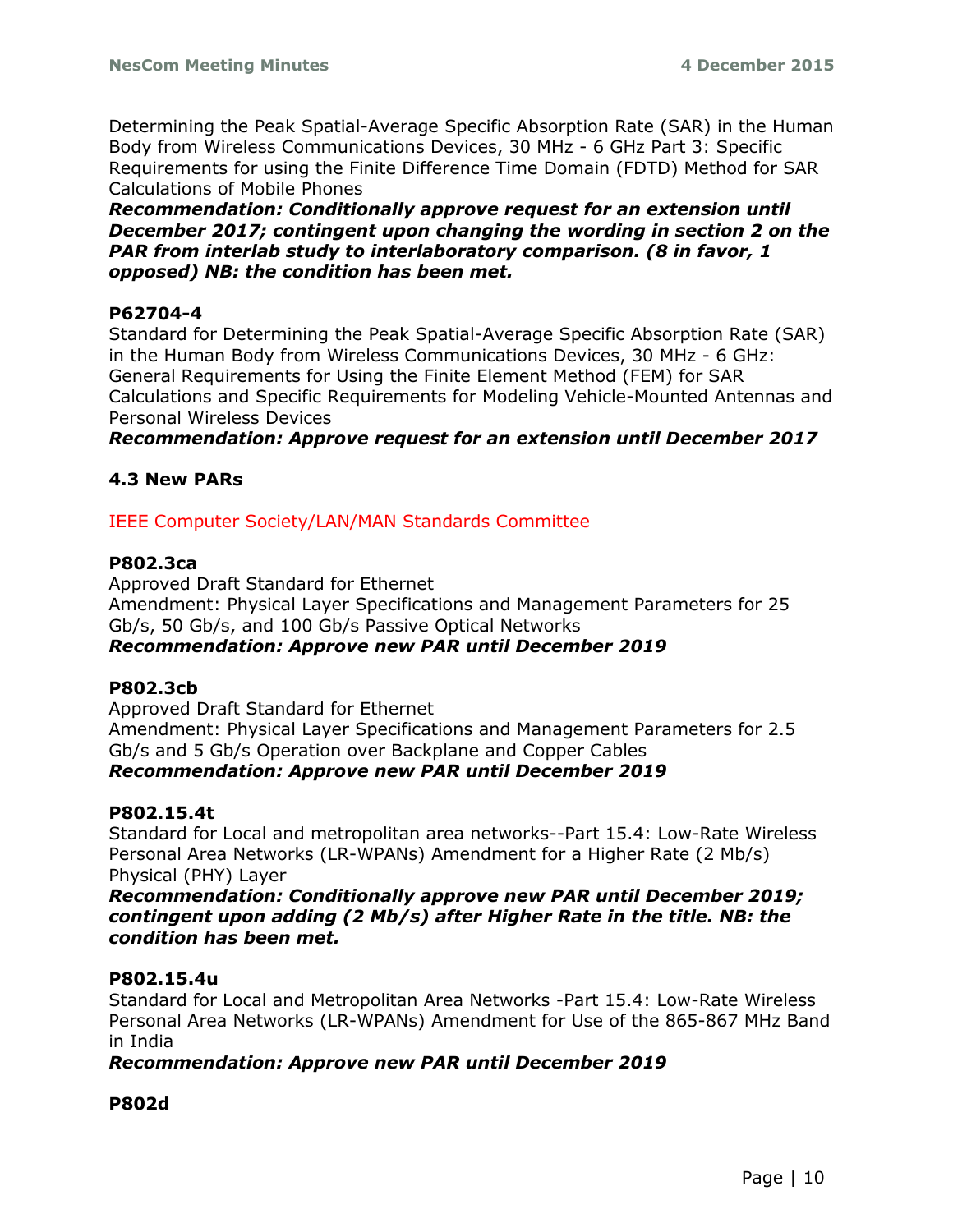Determining the Peak Spatial-Average Specific Absorption Rate (SAR) in the Human Body from Wireless Communications Devices, 30 MHz - 6 GHz Part 3: Specific Requirements for using the Finite Difference Time Domain (FDTD) Method for SAR Calculations of Mobile Phones

*Recommendation: Conditionally approve request for an extension until December 2017; contingent upon changing the wording in section 2 on the PAR from interlab study to interlaboratory comparison. (8 in favor, 1 opposed) NB: the condition has been met.*

#### **P62704-4**

Standard for Determining the Peak Spatial-Average Specific Absorption Rate (SAR) in the Human Body from Wireless Communications Devices, 30 MHz - 6 GHz: General Requirements for Using the Finite Element Method (FEM) for SAR Calculations and Specific Requirements for Modeling Vehicle-Mounted Antennas and Personal Wireless Devices

*Recommendation: Approve request for an extension until December 2017*

#### **4.3 New PARs**

IEEE Computer Society/LAN/MAN Standards Committee

#### **P802.3ca**

Approved Draft Standard for Ethernet Amendment: Physical Layer Specifications and Management Parameters for 25 Gb/s, 50 Gb/s, and 100 Gb/s Passive Optical Networks *Recommendation: Approve new PAR until December 2019*

#### **P802.3cb**

Approved Draft Standard for Ethernet Amendment: Physical Layer Specifications and Management Parameters for 2.5 Gb/s and 5 Gb/s Operation over Backplane and Copper Cables *Recommendation: Approve new PAR until December 2019*

#### **P802.15.4t**

Standard for Local and metropolitan area networks--Part 15.4: Low-Rate Wireless Personal Area Networks (LR-WPANs) Amendment for a Higher Rate (2 Mb/s) Physical (PHY) Layer

*Recommendation: Conditionally approve new PAR until December 2019; contingent upon adding (2 Mb/s) after Higher Rate in the title. NB: the condition has been met.*

#### **P802.15.4u**

Standard for Local and Metropolitan Area Networks -Part 15.4: Low-Rate Wireless Personal Area Networks (LR-WPANs) Amendment for Use of the 865-867 MHz Band in India

#### *Recommendation: Approve new PAR until December 2019*

#### **P802d**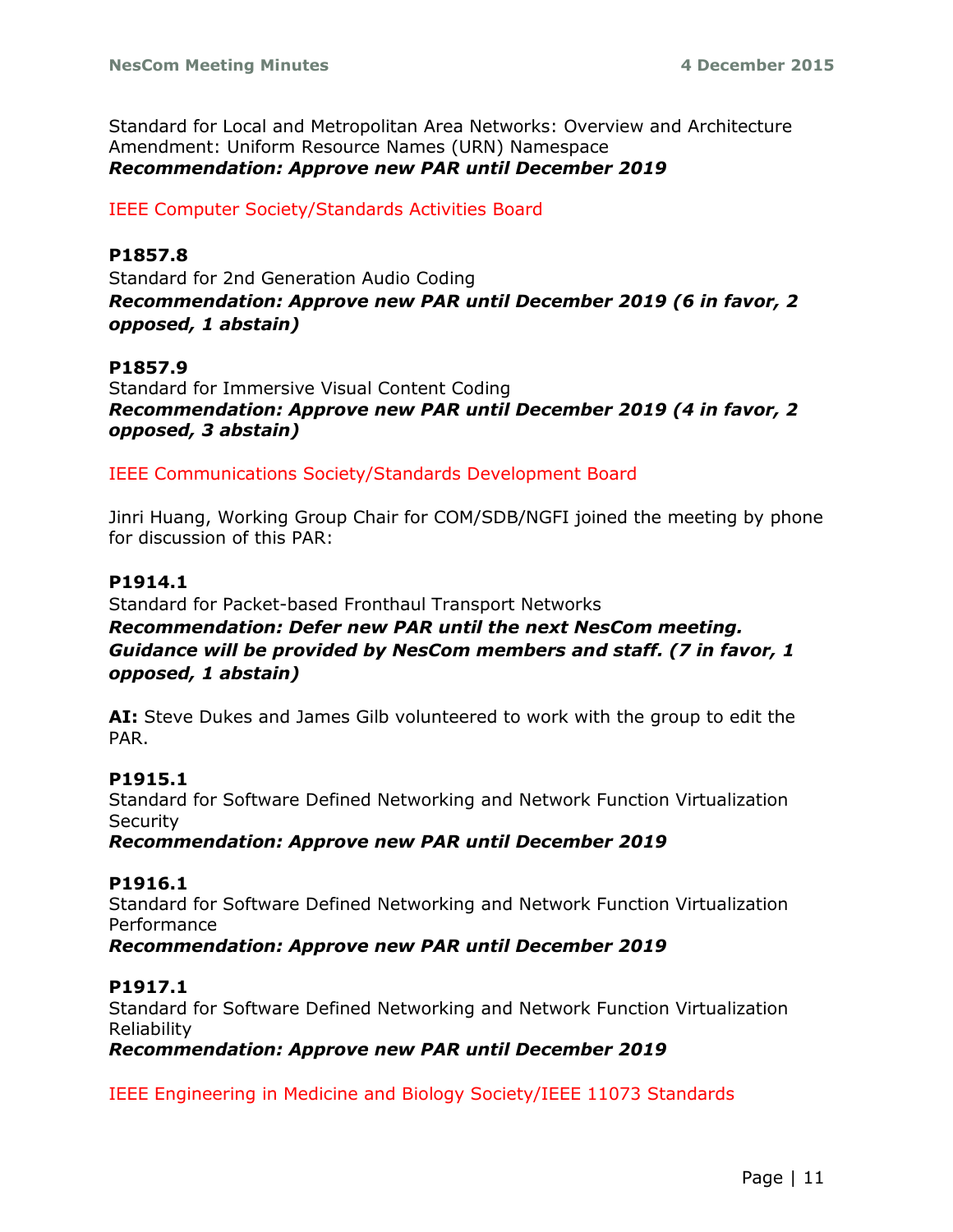Standard for Local and Metropolitan Area Networks: Overview and Architecture Amendment: Uniform Resource Names (URN) Namespace *Recommendation: Approve new PAR until December 2019*

#### IEEE Computer Society/Standards Activities Board

#### **P1857.8**

Standard for 2nd Generation Audio Coding *Recommendation: Approve new PAR until December 2019 (6 in favor, 2 opposed, 1 abstain)*

#### **P1857.9**

Standard for Immersive Visual Content Coding *Recommendation: Approve new PAR until December 2019 (4 in favor, 2 opposed, 3 abstain)*

IEEE Communications Society/Standards Development Board

Jinri Huang, Working Group Chair for COM/SDB/NGFI joined the meeting by phone for discussion of this PAR:

#### **P1914.1**

Standard for Packet-based Fronthaul Transport Networks *Recommendation: Defer new PAR until the next NesCom meeting. Guidance will be provided by NesCom members and staff. (7 in favor, 1 opposed, 1 abstain)*

**AI:** Steve Dukes and James Gilb volunteered to work with the group to edit the PAR.

#### **P1915.1**

Standard for Software Defined Networking and Network Function Virtualization **Security** 

*Recommendation: Approve new PAR until December 2019*

#### **P1916.1**

Standard for Software Defined Networking and Network Function Virtualization Performance

#### *Recommendation: Approve new PAR until December 2019*

#### **P1917.1**

Standard for Software Defined Networking and Network Function Virtualization Reliability

*Recommendation: Approve new PAR until December 2019*

IEEE Engineering in Medicine and Biology Society/IEEE 11073 Standards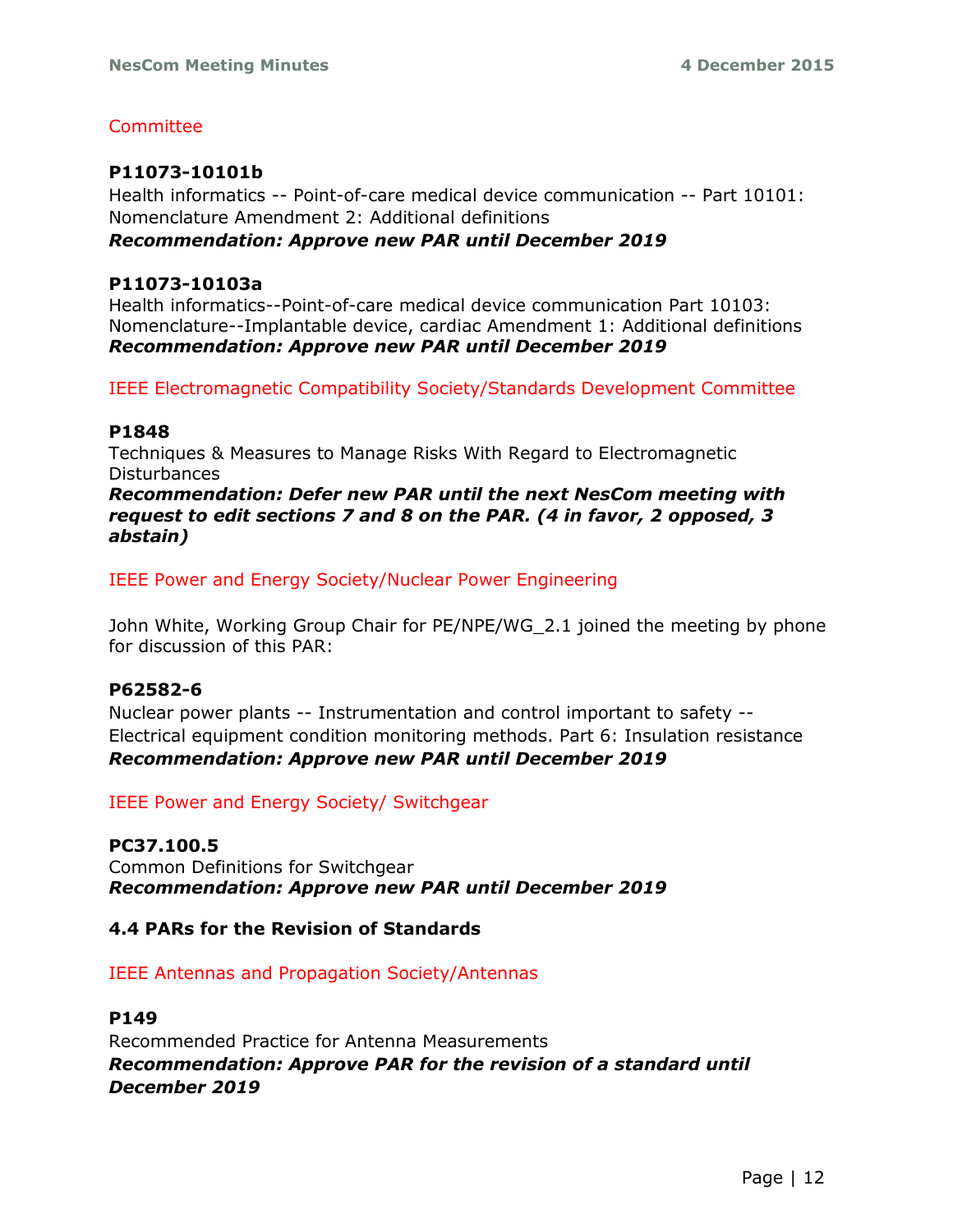# **Committee**

# **P11073-10101b**

Health informatics -- Point-of-care medical device communication -- Part 10101: Nomenclature Amendment 2: Additional definitions *Recommendation: Approve new PAR until December 2019*

## **P11073-10103a**

Health informatics--Point-of-care medical device communication Part 10103: Nomenclature--Implantable device, cardiac Amendment 1: Additional definitions *Recommendation: Approve new PAR until December 2019*

IEEE Electromagnetic Compatibility Society/Standards Development Committee

#### **P1848**

Techniques & Measures to Manage Risks With Regard to Electromagnetic **Disturbances** *Recommendation: Defer new PAR until the next NesCom meeting with* 

*request to edit sections 7 and 8 on the PAR. (4 in favor, 2 opposed, 3 abstain)*

IEEE Power and Energy Society/Nuclear Power Engineering

John White, Working Group Chair for PE/NPE/WG\_2.1 joined the meeting by phone for discussion of this PAR:

## **P62582-6**

Nuclear power plants -- Instrumentation and control important to safety -- Electrical equipment condition monitoring methods. Part 6: Insulation resistance *Recommendation: Approve new PAR until December 2019*

IEEE Power and Energy Society/ Switchgear

## **PC37.100.5**

Common Definitions for Switchgear *Recommendation: Approve new PAR until December 2019*

## **4.4 PARs for the Revision of Standards**

IEEE Antennas and Propagation Society/Antennas

## **P149**

Recommended Practice for Antenna Measurements *Recommendation: Approve PAR for the revision of a standard until December 2019*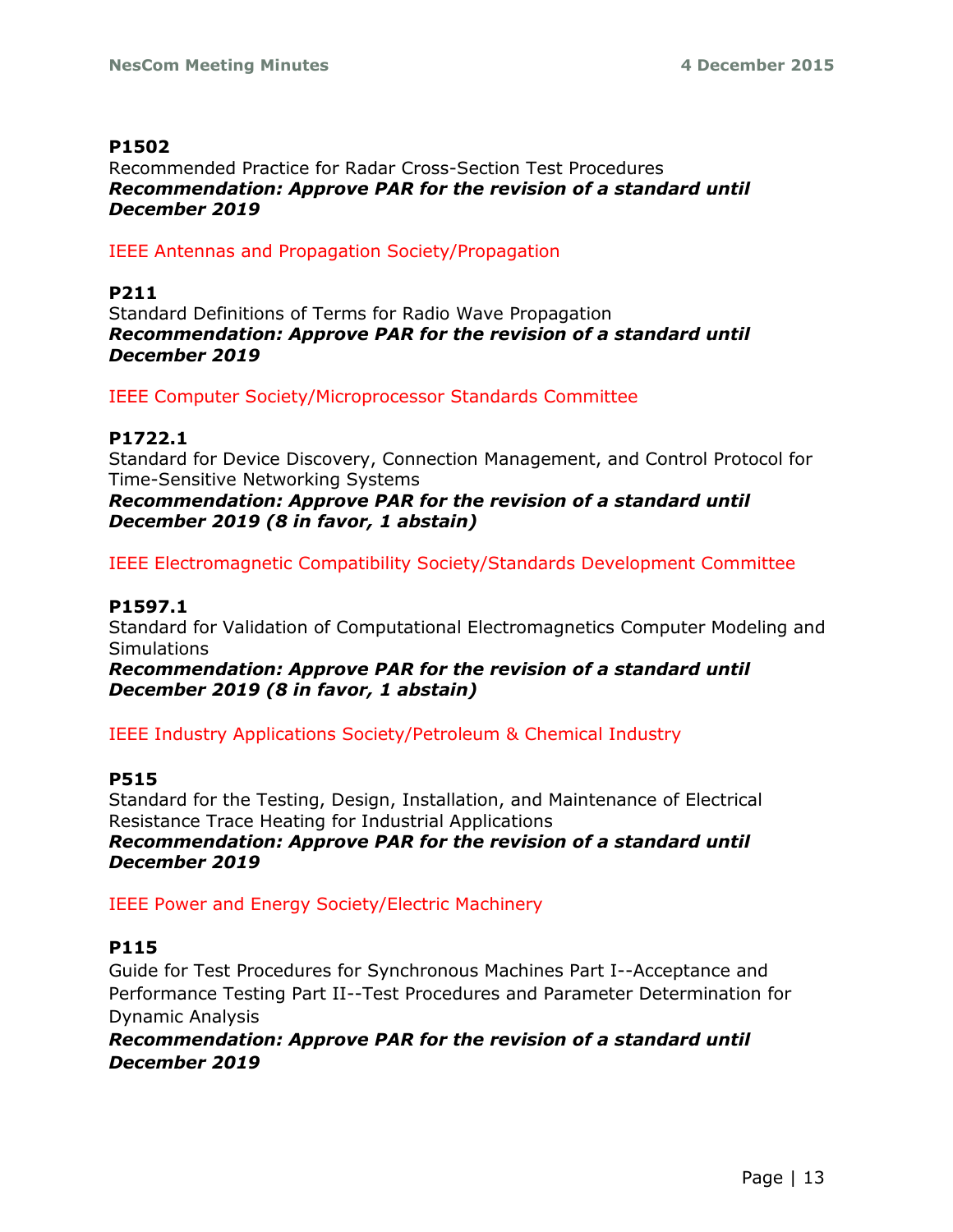## **P1502**

Recommended Practice for Radar Cross-Section Test Procedures *Recommendation: Approve PAR for the revision of a standard until December 2019*

IEEE Antennas and Propagation Society/Propagation

## **P211**

Standard Definitions of Terms for Radio Wave Propagation *Recommendation: Approve PAR for the revision of a standard until December 2019*

IEEE Computer Society/Microprocessor Standards Committee

## **P1722.1**

Standard for Device Discovery, Connection Management, and Control Protocol for Time-Sensitive Networking Systems

*Recommendation: Approve PAR for the revision of a standard until December 2019 (8 in favor, 1 abstain)*

IEEE Electromagnetic Compatibility Society/Standards Development Committee

# **P1597.1**

Standard for Validation of Computational Electromagnetics Computer Modeling and **Simulations** 

*Recommendation: Approve PAR for the revision of a standard until December 2019 (8 in favor, 1 abstain)*

IEEE Industry Applications Society/Petroleum & Chemical Industry

## **P515**

Standard for the Testing, Design, Installation, and Maintenance of Electrical Resistance Trace Heating for Industrial Applications *Recommendation: Approve PAR for the revision of a standard until December 2019*

IEEE Power and Energy Society/Electric Machinery

## **P115**

Guide for Test Procedures for Synchronous Machines Part I--Acceptance and Performance Testing Part II--Test Procedures and Parameter Determination for Dynamic Analysis

*Recommendation: Approve PAR for the revision of a standard until December 2019*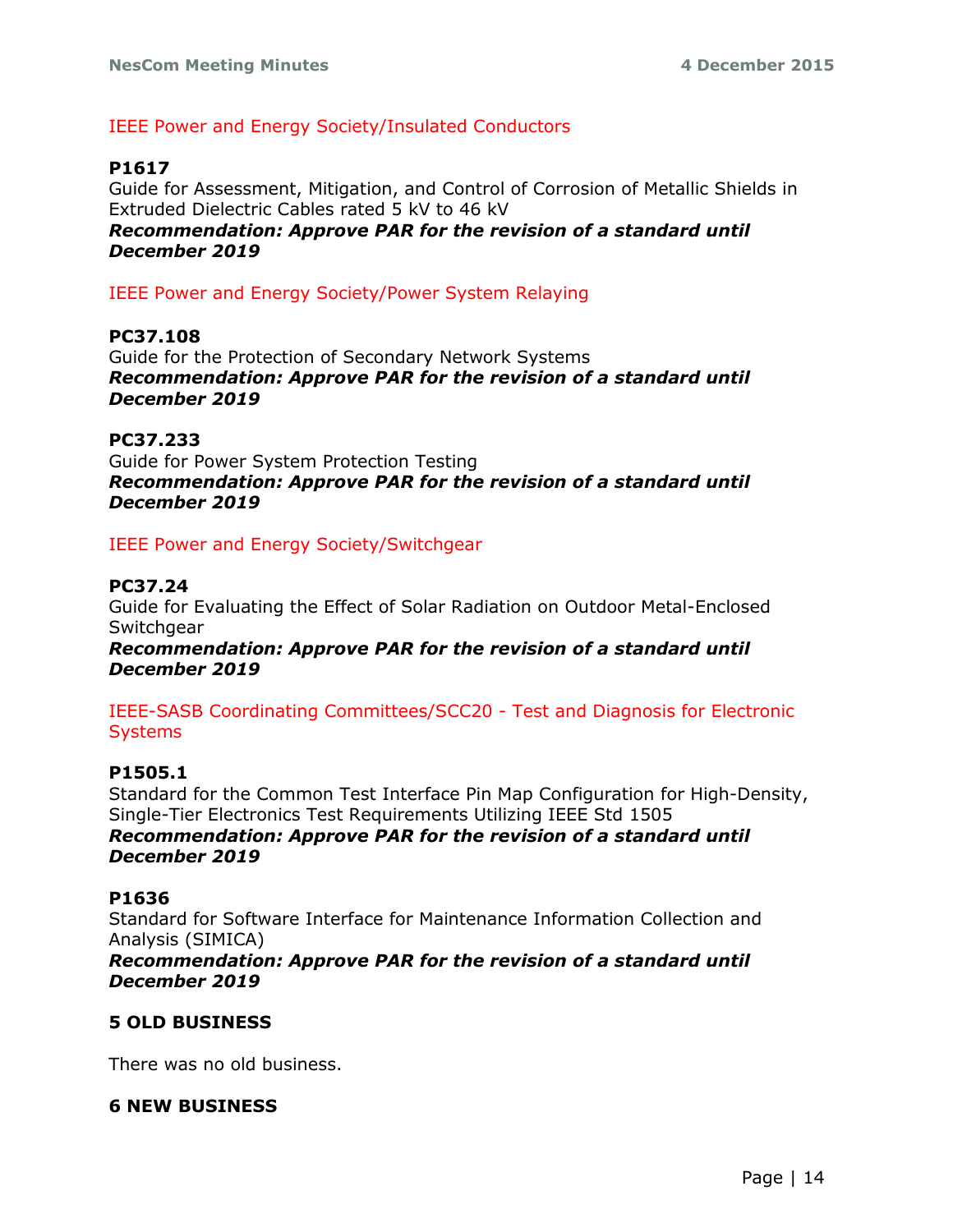# IEEE Power and Energy Society/Insulated Conductors

# **P1617**

Guide for Assessment, Mitigation, and Control of Corrosion of Metallic Shields in Extruded Dielectric Cables rated 5 kV to 46 kV *Recommendation: Approve PAR for the revision of a standard until December 2019*

IEEE Power and Energy Society/Power System Relaying

#### **PC37.108**

Guide for the Protection of Secondary Network Systems *Recommendation: Approve PAR for the revision of a standard until December 2019*

#### **PC37.233**

Guide for Power System Protection Testing *Recommendation: Approve PAR for the revision of a standard until December 2019*

#### IEEE Power and Energy Society/Switchgear

#### **PC37.24**

Guide for Evaluating the Effect of Solar Radiation on Outdoor Metal-Enclosed Switchgear

*Recommendation: Approve PAR for the revision of a standard until December 2019*

IEEE-SASB Coordinating Committees/SCC20 - Test and Diagnosis for Electronic **Systems** 

#### **P1505.1**

Standard for the Common Test Interface Pin Map Configuration for High-Density, Single-Tier Electronics Test Requirements Utilizing IEEE Std 1505 *Recommendation: Approve PAR for the revision of a standard until December 2019*

#### **P1636**

Standard for Software Interface for Maintenance Information Collection and Analysis (SIMICA)

*Recommendation: Approve PAR for the revision of a standard until December 2019*

## **5 OLD BUSINESS**

There was no old business.

#### **6 NEW BUSINESS**